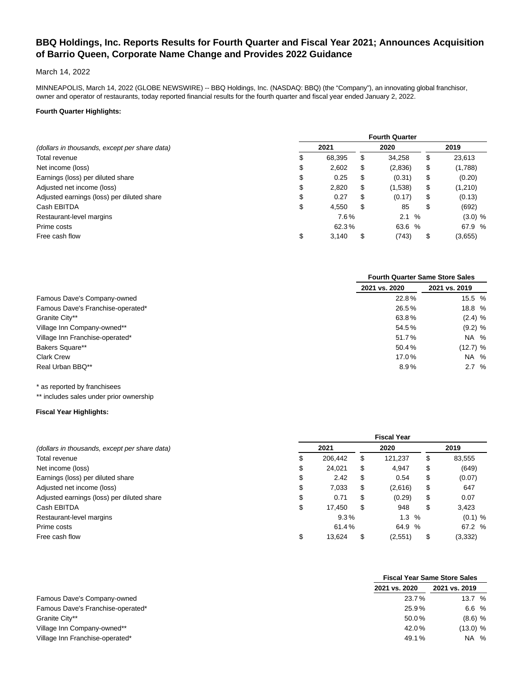# **BBQ Holdings, Inc. Reports Results for Fourth Quarter and Fiscal Year 2021; Announces Acquisition of Barrio Queen, Corporate Name Change and Provides 2022 Guidance**

# March 14, 2022

MINNEAPOLIS, March 14, 2022 (GLOBE NEWSWIRE) -- BBQ Holdings, Inc. (NASDAQ: BBQ) (the "Company"), an innovating global franchisor, owner and operator of restaurants, today reported financial results for the fourth quarter and fiscal year ended January 2, 2022.

# **Fourth Quarter Highlights:**

|                                               | <b>Fourth Quarter</b> |        |    |         |    |           |  |  |  |
|-----------------------------------------------|-----------------------|--------|----|---------|----|-----------|--|--|--|
| (dollars in thousands, except per share data) | 2021                  |        |    | 2020    |    | 2019      |  |  |  |
| Total revenue                                 |                       | 68,395 | \$ | 34,258  | S  | 23,613    |  |  |  |
| Net income (loss)                             | \$                    | 2.602  | \$ | (2,836) | \$ | (1,788)   |  |  |  |
| Earnings (loss) per diluted share             | \$                    | 0.25   | \$ | (0.31)  | \$ | (0.20)    |  |  |  |
| Adjusted net income (loss)                    | \$                    | 2,820  | \$ | (1,538) | \$ | (1,210)   |  |  |  |
| Adjusted earnings (loss) per diluted share    | \$                    | 0.27   | \$ | (0.17)  | \$ | (0.13)    |  |  |  |
| Cash EBITDA                                   | \$                    | 4.550  | \$ | 85      | \$ | (692)     |  |  |  |
| Restaurant-level margins                      |                       | 7.6%   |    | 2.1%    |    | $(3.0)$ % |  |  |  |
| Prime costs                                   |                       | 62.3%  |    | 63.6 %  |    | 67.9 %    |  |  |  |
| Free cash flow                                | \$                    | 3,140  | \$ | (743)   | \$ | (3,655)   |  |  |  |

|                                   | <b>Fourth Quarter Same Store Sales</b><br>2021 vs. 2020<br>22.8%<br>26.5%<br>63.8%<br>54.5%<br>51.7%<br>50.4%<br>17.0%<br>8.9% |               |  |  |
|-----------------------------------|--------------------------------------------------------------------------------------------------------------------------------|---------------|--|--|
|                                   |                                                                                                                                | 2021 vs. 2019 |  |  |
| Famous Dave's Company-owned       |                                                                                                                                | 15.5 %        |  |  |
| Famous Dave's Franchise-operated* |                                                                                                                                | 18.8 %        |  |  |
| Granite City**                    |                                                                                                                                | $(2.4)$ %     |  |  |
| Village Inn Company-owned**       |                                                                                                                                | $(9.2)$ %     |  |  |
| Village Inn Franchise-operated*   |                                                                                                                                | NA %          |  |  |
| <b>Bakers Square**</b>            |                                                                                                                                | (12.7) %      |  |  |
| <b>Clark Crew</b>                 |                                                                                                                                | NA %          |  |  |
| Real Urban BBQ**                  |                                                                                                                                | 2.7%          |  |  |

\* as reported by franchisees

\*\* includes sales under prior ownership

#### **Fiscal Year Highlights:**

|                                               | <b>Fiscal Year</b> |         |    |            |    |           |  |  |  |
|-----------------------------------------------|--------------------|---------|----|------------|----|-----------|--|--|--|
| (dollars in thousands, except per share data) |                    | 2021    |    | 2020       |    | 2019      |  |  |  |
| Total revenue                                 | S                  | 206.442 | \$ | 121.237    | \$ | 83,555    |  |  |  |
| Net income (loss)                             | \$                 | 24.021  | \$ | 4,947      | \$ | (649)     |  |  |  |
| Earnings (loss) per diluted share             | \$                 | 2.42    | \$ | 0.54       | \$ | (0.07)    |  |  |  |
| Adjusted net income (loss)                    | \$                 | 7,033   | \$ | (2,616)    | \$ | 647       |  |  |  |
| Adjusted earnings (loss) per diluted share    | \$                 | 0.71    | \$ | (0.29)     | \$ | 0.07      |  |  |  |
| Cash EBITDA                                   | \$                 | 17.450  | S. | 948        | \$ | 3,423     |  |  |  |
| Restaurant-level margins                      |                    | 9.3%    |    | $1.3 \, %$ |    | $(0.1)$ % |  |  |  |
| Prime costs                                   |                    | 61.4%   |    | 64.9 %     |    | 67.2 %    |  |  |  |
| Free cash flow                                | \$                 | 13,624  | \$ | (2,551)    | \$ | (3, 332)  |  |  |  |

|                                   |               | <b>Fiscal Year Same Store Sales</b> |
|-----------------------------------|---------------|-------------------------------------|
|                                   | 2021 vs. 2020 | 2021 vs. 2019                       |
| Famous Dave's Company-owned       | 23.7%         | 13.7 %                              |
| Famous Dave's Franchise-operated* | 25.9%         | 6.6 %                               |
| Granite City**                    | 50.0%         | $(8.6)$ %                           |
| Village Inn Company-owned**       | 42.0%         | (13.0) %                            |
| Village Inn Franchise-operated*   | 49.1%         | NA %                                |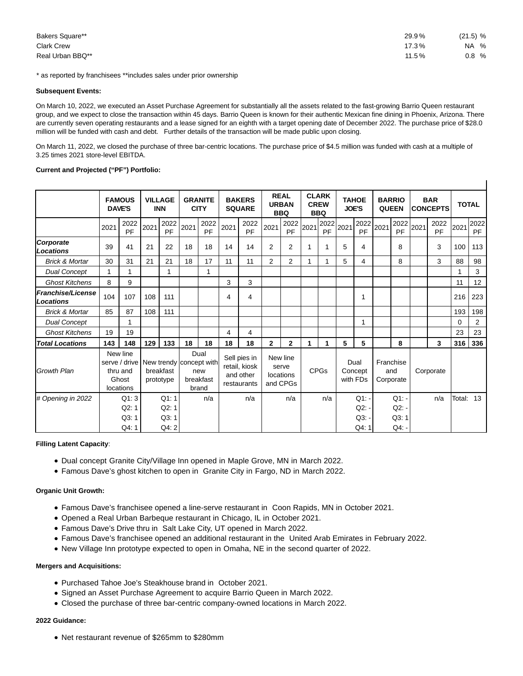| Bakers Square**   | 29.9% | $(21.5)$ % |
|-------------------|-------|------------|
| <b>Clark Crew</b> | 17.3% | NA %       |
| Real Urban BBQ**  | 11.5% | 0.8%       |

 $\overline{1}$ 

\* as reported by franchisees \*\*includes sales under prior ownership

#### **Subsequent Events:**

On March 10, 2022, we executed an Asset Purchase Agreement for substantially all the assets related to the fast-growing Barrio Queen restaurant group, and we expect to close the transaction within 45 days. Barrio Queen is known for their authentic Mexican fine dining in Phoenix, Arizona. There are currently seven operating restaurants and a lease signed for an eighth with a target opening date of December 2022. The purchase price of \$28.0 million will be funded with cash and debt. Further details of the transaction will be made public upon closing.

On March 11, 2022, we closed the purchase of three bar-centric locations. The purchase price of \$4.5 million was funded with cash at a multiple of 3.25 times 2021 store-level EBITDA.

## **Current and Projected ("PF") Portfolio:**

|                                       |      | <b>FAMOUS</b><br><b>DAVE'S</b>                                                      |      | <b>VILLAGE</b><br><b>INN</b> |      | <b>GRANITE</b><br><b>CITY</b>     |      | <b>BAKERS</b><br><b>SQUARE</b>                            |              | <b>REAL</b><br><b>URBAN</b><br><b>BBQ</b>  |      | <b>CLARK</b><br><b>CREW</b><br><b>BBQ</b> | <b>JOE'S</b> | <b>TAHOE</b>                 |      | <b>BARRIO</b><br><b>QUEEN</b> | <b>BAR</b><br><b>CONCEPTS</b> |              | <b>TOTAL</b> |                   |
|---------------------------------------|------|-------------------------------------------------------------------------------------|------|------------------------------|------|-----------------------------------|------|-----------------------------------------------------------|--------------|--------------------------------------------|------|-------------------------------------------|--------------|------------------------------|------|-------------------------------|-------------------------------|--------------|--------------|-------------------|
|                                       | 2021 | 2022<br>PF                                                                          | 2021 | 2022<br>PF                   | 2021 | 2022<br>PF                        | 2021 | 2022<br>PF                                                | 2021         | 2022<br>PF                                 | 2021 | 2022<br>PF                                | 2021         | 2022<br>PF                   | 2021 | 2022<br>PF                    | 2021                          | 2022<br>PF   | 2021         | 2022<br><b>PF</b> |
| Corporate<br>Locations                | 39   | 41                                                                                  | 21   | 22                           | 18   | 18                                | 14   | 14                                                        | 2            | 2                                          | 1    | 1                                         | 5            | 4                            |      | 8                             |                               | 3            | 100          | 113               |
| <b>Brick &amp; Mortar</b>             | 30   | 31                                                                                  | 21   | 21                           | 18   | 17                                | 11   | 11                                                        | 2            | $\overline{2}$                             | 1    | 1                                         | 5            | 4                            |      | 8                             |                               | 3            | 88           | 98                |
| <b>Dual Concept</b>                   | 1    | 1                                                                                   |      | 1                            |      | 1                                 |      |                                                           |              |                                            |      |                                           |              |                              |      |                               |                               |              | 1            | 3                 |
| <b>Ghost Kitchens</b>                 | 8    | 9                                                                                   |      |                              |      |                                   | 3    | 3                                                         |              |                                            |      |                                           |              |                              |      |                               |                               |              | 11           | 12                |
| <b>Franchise/License</b><br>Locations | 104  | 107                                                                                 | 108  | 111                          |      |                                   | 4    | $\overline{4}$                                            |              |                                            |      |                                           |              | 1                            |      |                               |                               |              | 216          | 223               |
| <b>Brick &amp; Mortar</b>             | 85   | 87                                                                                  | 108  | 111                          |      |                                   |      |                                                           |              |                                            |      |                                           |              |                              |      |                               |                               |              | 193          | 198               |
| <b>Dual Concept</b>                   |      |                                                                                     |      |                              |      |                                   |      |                                                           |              |                                            |      |                                           |              | 1                            |      |                               |                               |              | 0            | $\overline{2}$    |
| <b>Ghost Kitchens</b>                 | 19   | 19                                                                                  |      |                              |      |                                   | 4    | 4                                                         |              |                                            |      |                                           |              |                              |      |                               |                               |              | 23           | 23                |
| <b>Total Locations</b>                | 143  | 148                                                                                 | 129  | 133                          | 18   | 18                                | 18   | 18                                                        | $\mathbf{2}$ | $\mathbf{2}$                               | 1    | 1                                         | 5            | 5                            |      | 8                             |                               | $\mathbf{3}$ | 316          | 336               |
| <b>Growth Plan</b>                    |      | New line<br>serve / drive New trendy concept with<br>thru and<br>Ghost<br>locations |      | breakfast<br>prototype       |      | Dual<br>new<br>breakfast<br>brand |      | Sell pies in<br>retail, kiosk<br>and other<br>restaurants |              | New line<br>serve<br>locations<br>and CPGs |      | <b>CPGs</b>                               |              | Dual<br>Concept<br>with FDs  |      | Franchise<br>and<br>Corporate |                               | Corporate    |              |                   |
| # Opening in 2022                     |      | Q1:3<br>Q2:1<br>Q3:1                                                                |      | Q1:1<br>Q2:1<br>Q3:1         |      | n/a                               |      | n/a                                                       |              | n/a                                        |      | n/a                                       |              | $Q1: -$<br>$Q2: -$<br>$Q3$ : |      | $Q1$ : -<br>Q2:<br>Q3:1       |                               | n/a          | Total: 13    |                   |
|                                       |      | Q4:1                                                                                |      | Q4: 2                        |      |                                   |      |                                                           |              |                                            |      |                                           |              | Q4:1                         |      | $Q4$ .                        |                               |              |              |                   |

## **Filling Latent Capacity**:

- Dual concept Granite City/Village Inn opened in Maple Grove, MN in March 2022.
- Famous Dave's ghost kitchen to open in Granite City in Fargo, ND in March 2022.

## **Organic Unit Growth:**

- Famous Dave's franchisee opened a line-serve restaurant in Coon Rapids, MN in October 2021.
- Opened a Real Urban Barbeque restaurant in Chicago, IL in October 2021.
- Famous Dave's Drive thru in Salt Lake City, UT opened in March 2022.
- Famous Dave's franchisee opened an additional restaurant in the United Arab Emirates in February 2022.
- New Village Inn prototype expected to open in Omaha, NE in the second quarter of 2022.

# **Mergers and Acquisitions:**

- Purchased Tahoe Joe's Steakhouse brand in October 2021.
- Signed an Asset Purchase Agreement to acquire Barrio Queen in March 2022.
- Closed the purchase of three bar-centric company-owned locations in March 2022.

## **2022 Guidance:**

Net restaurant revenue of \$265mm to \$280mm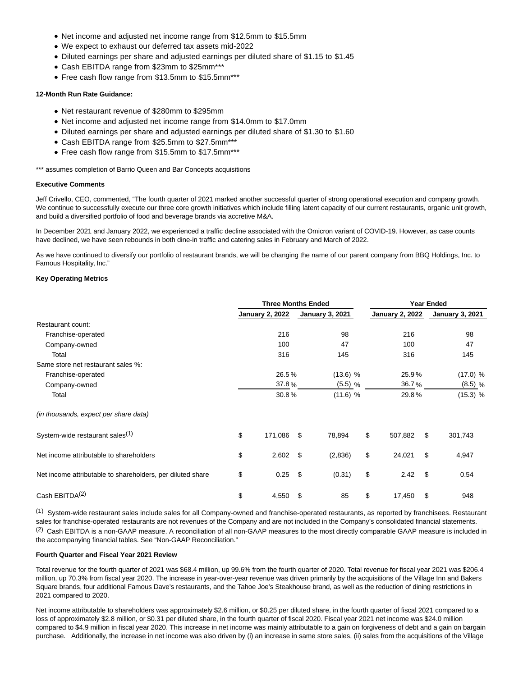- Net income and adjusted net income range from \$12.5mm to \$15.5mm
- We expect to exhaust our deferred tax assets mid-2022
- Diluted earnings per share and adjusted earnings per diluted share of \$1.15 to \$1.45
- Cash EBITDA range from \$23mm to \$25mm\*\*\*
- Free cash flow range from \$13.5mm to \$15.5mm\*\*\*

## **12-Month Run Rate Guidance:**

- Net restaurant revenue of \$280mm to \$295mm
- Net income and adjusted net income range from \$14.0mm to \$17.0mm
- Diluted earnings per share and adjusted earnings per diluted share of \$1.30 to \$1.60
- Cash EBITDA range from \$25.5mm to \$27.5mm\*\*\*
- Free cash flow range from \$15.5mm to \$17.5mm\*\*\*

\*\*\* assumes completion of Barrio Queen and Bar Concepts acquisitions

#### **Executive Comments**

Jeff Crivello, CEO, commented, "The fourth quarter of 2021 marked another successful quarter of strong operational execution and company growth. We continue to successfully execute our three core growth initiatives which include filling latent capacity of our current restaurants, organic unit growth, and build a diversified portfolio of food and beverage brands via accretive M&A.

In December 2021 and January 2022, we experienced a traffic decline associated with the Omicron variant of COVID-19. However, as case counts have declined, we have seen rebounds in both dine-in traffic and catering sales in February and March of 2022.

As we have continued to diversify our portfolio of restaurant brands, we will be changing the name of our parent company from BBQ Holdings, Inc. to Famous Hospitality, Inc."

#### **Key Operating Metrics**

|                                                            | <b>Three Months Ended</b> |                        |      |                        |    | <b>Year Ended</b>      |     |                        |  |
|------------------------------------------------------------|---------------------------|------------------------|------|------------------------|----|------------------------|-----|------------------------|--|
|                                                            |                           | <b>January 2, 2022</b> |      | <b>January 3, 2021</b> |    | <b>January 2, 2022</b> |     | <b>January 3, 2021</b> |  |
| Restaurant count:                                          |                           |                        |      |                        |    |                        |     |                        |  |
| Franchise-operated                                         |                           | 216                    |      | 98                     |    | 216                    |     | 98                     |  |
| Company-owned                                              |                           | 100                    |      | 47                     |    | 100                    |     | 47                     |  |
| Total                                                      |                           | 316                    |      | 145                    |    | 316                    |     | 145                    |  |
| Same store net restaurant sales %:                         |                           |                        |      |                        |    |                        |     |                        |  |
| Franchise-operated                                         |                           | 26.5%                  |      | $(13.6)$ %             |    | 25.9%                  |     | (17.0) %               |  |
| Company-owned                                              |                           | 37.8%                  |      | $(5.5)$ %              |    | 36.7%                  |     | $(8.5)$ %              |  |
| Total                                                      |                           | 30.8%                  |      | (11.6) %               |    | 29.8%                  |     | (15.3) %               |  |
| (in thousands, expect per share data)                      |                           |                        |      |                        |    |                        |     |                        |  |
| System-wide restaurant sales <sup>(1)</sup>                | \$                        | 171,086                | \$   | 78,894                 |    | \$<br>507,882          | \$  | 301,743                |  |
| Net income attributable to shareholders                    | \$                        | 2,602                  | - \$ | (2,836)                | \$ | 24,021                 | \$  | 4,947                  |  |
| Net income attributable to shareholders, per diluted share | \$                        | 0.25                   | \$   | (0.31)                 | \$ | 2.42                   | \$. | 0.54                   |  |
| Cash EBITDA <sup>(2)</sup>                                 | \$                        | 4,550                  | \$   | 85                     | \$ | 17,450                 | \$  | 948                    |  |

(1) System-wide restaurant sales include sales for all Company-owned and franchise-operated restaurants, as reported by franchisees. Restaurant sales for franchise-operated restaurants are not revenues of the Company and are not included in the Company's consolidated financial statements. (2) Cash EBITDA is a non-GAAP measure. A reconciliation of all non-GAAP measures to the most directly comparable GAAP measure is included in the accompanying financial tables. See "Non-GAAP Reconciliation."

# **Fourth Quarter and Fiscal Year 2021 Review**

Total revenue for the fourth quarter of 2021 was \$68.4 million, up 99.6% from the fourth quarter of 2020. Total revenue for fiscal year 2021 was \$206.4 million, up 70.3% from fiscal year 2020. The increase in year-over-year revenue was driven primarily by the acquisitions of the Village Inn and Bakers Square brands, four additional Famous Dave's restaurants, and the Tahoe Joe's Steakhouse brand, as well as the reduction of dining restrictions in 2021 compared to 2020.

Net income attributable to shareholders was approximately \$2.6 million, or \$0.25 per diluted share, in the fourth quarter of fiscal 2021 compared to a loss of approximately \$2.8 million, or \$0.31 per diluted share, in the fourth quarter of fiscal 2020. Fiscal year 2021 net income was \$24.0 million compared to \$4.9 million in fiscal year 2020. This increase in net income was mainly attributable to a gain on forgiveness of debt and a gain on bargain purchase. Additionally, the increase in net income was also driven by (i) an increase in same store sales, (ii) sales from the acquisitions of the Village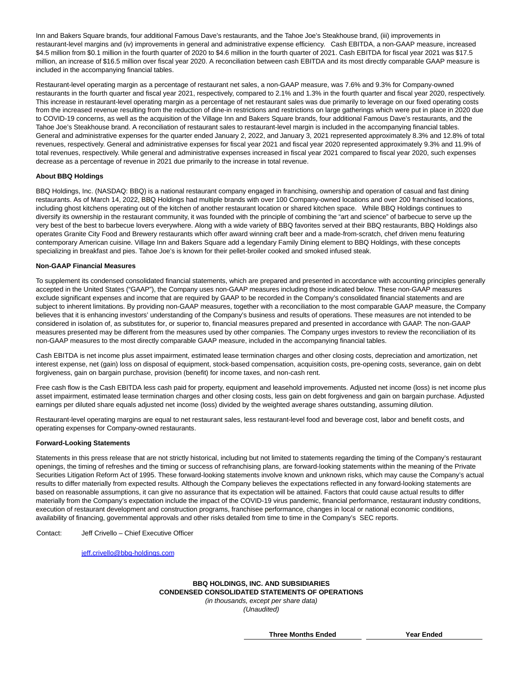Inn and Bakers Square brands, four additional Famous Dave's restaurants, and the Tahoe Joe's Steakhouse brand, (iii) improvements in restaurant-level margins and (iv) improvements in general and administrative expense efficiency. Cash EBITDA, a non-GAAP measure, increased \$4.5 million from \$0.1 million in the fourth quarter of 2020 to \$4.6 million in the fourth quarter of 2021. Cash EBITDA for fiscal year 2021 was \$17.5 million, an increase of \$16.5 million over fiscal year 2020. A reconciliation between cash EBITDA and its most directly comparable GAAP measure is included in the accompanying financial tables.

Restaurant-level operating margin as a percentage of restaurant net sales, a non-GAAP measure, was 7.6% and 9.3% for Company-owned restaurants in the fourth quarter and fiscal year 2021, respectively, compared to 2.1% and 1.3% in the fourth quarter and fiscal year 2020, respectively. This increase in restaurant-level operating margin as a percentage of net restaurant sales was due primarily to leverage on our fixed operating costs from the increased revenue resulting from the reduction of dine-in restrictions and restrictions on large gatherings which were put in place in 2020 due to COVID-19 concerns, as well as the acquisition of the Village Inn and Bakers Square brands, four additional Famous Dave's restaurants, and the Tahoe Joe's Steakhouse brand. A reconciliation of restaurant sales to restaurant-level margin is included in the accompanying financial tables. General and administrative expenses for the quarter ended January 2, 2022, and January 3, 2021 represented approximately 8.3% and 12.8% of total revenues, respectively. General and administrative expenses for fiscal year 2021 and fiscal year 2020 represented approximately 9.3% and 11.9% of total revenues, respectively. While general and administrative expenses increased in fiscal year 2021 compared to fiscal year 2020, such expenses decrease as a percentage of revenue in 2021 due primarily to the increase in total revenue.

## **About BBQ Holdings**

BBQ Holdings, Inc. (NASDAQ: BBQ) is a national restaurant company engaged in franchising, ownership and operation of casual and fast dining restaurants. As of March 14, 2022, BBQ Holdings had multiple brands with over 100 Company-owned locations and over 200 franchised locations, including ghost kitchens operating out of the kitchen of another restaurant location or shared kitchen space. While BBQ Holdings continues to diversify its ownership in the restaurant community, it was founded with the principle of combining the "art and science" of barbecue to serve up the very best of the best to barbecue lovers everywhere. Along with a wide variety of BBQ favorites served at their BBQ restaurants, BBQ Holdings also operates Granite City Food and Brewery restaurants which offer award winning craft beer and a made-from-scratch, chef driven menu featuring contemporary American cuisine. Village Inn and Bakers Square add a legendary Family Dining element to BBQ Holdings, with these concepts specializing in breakfast and pies. Tahoe Joe's is known for their pellet-broiler cooked and smoked infused steak.

## **Non-GAAP Financial Measures**

To supplement its condensed consolidated financial statements, which are prepared and presented in accordance with accounting principles generally accepted in the United States ("GAAP"), the Company uses non-GAAP measures including those indicated below. These non-GAAP measures exclude significant expenses and income that are required by GAAP to be recorded in the Company's consolidated financial statements and are subject to inherent limitations. By providing non-GAAP measures, together with a reconciliation to the most comparable GAAP measure, the Company believes that it is enhancing investors' understanding of the Company's business and results of operations. These measures are not intended to be considered in isolation of, as substitutes for, or superior to, financial measures prepared and presented in accordance with GAAP. The non-GAAP measures presented may be different from the measures used by other companies. The Company urges investors to review the reconciliation of its non-GAAP measures to the most directly comparable GAAP measure, included in the accompanying financial tables.

Cash EBITDA is net income plus asset impairment, estimated lease termination charges and other closing costs, depreciation and amortization, net interest expense, net (gain) loss on disposal of equipment, stock-based compensation, acquisition costs, pre-opening costs, severance, gain on debt forgiveness, gain on bargain purchase, provision (benefit) for income taxes, and non-cash rent.

Free cash flow is the Cash EBITDA less cash paid for property, equipment and leasehold improvements. Adjusted net income (loss) is net income plus asset impairment, estimated lease termination charges and other closing costs, less gain on debt forgiveness and gain on bargain purchase. Adjusted earnings per diluted share equals adjusted net income (loss) divided by the weighted average shares outstanding, assuming dilution.

Restaurant-level operating margins are equal to net restaurant sales, less restaurant-level food and beverage cost, labor and benefit costs, and operating expenses for Company-owned restaurants.

## **Forward-Looking Statements**

Statements in this press release that are not strictly historical, including but not limited to statements regarding the timing of the Company's restaurant openings, the timing of refreshes and the timing or success of refranchising plans, are forward-looking statements within the meaning of the Private Securities Litigation Reform Act of 1995. These forward-looking statements involve known and unknown risks, which may cause the Company's actual results to differ materially from expected results. Although the Company believes the expectations reflected in any forward-looking statements are based on reasonable assumptions, it can give no assurance that its expectation will be attained. Factors that could cause actual results to differ materially from the Company's expectation include the impact of the COVID-19 virus pandemic, financial performance, restaurant industry conditions, execution of restaurant development and construction programs, franchisee performance, changes in local or national economic conditions, availability of financing, governmental approvals and other risks detailed from time to time in the Company's SEC reports.

Contact: Jeff Crivello – Chief Executive Officer

[jeff.crivello@bbq-holdings.com](mailto:jeff.crivello@bbq-holdings.com)

## **BBQ HOLDINGS, INC. AND SUBSIDIARIES CONDENSED CONSOLIDATED STATEMENTS OF OPERATIONS** (in thousands, except per share data) (Unaudited)

**Three Months Ended Year Ended**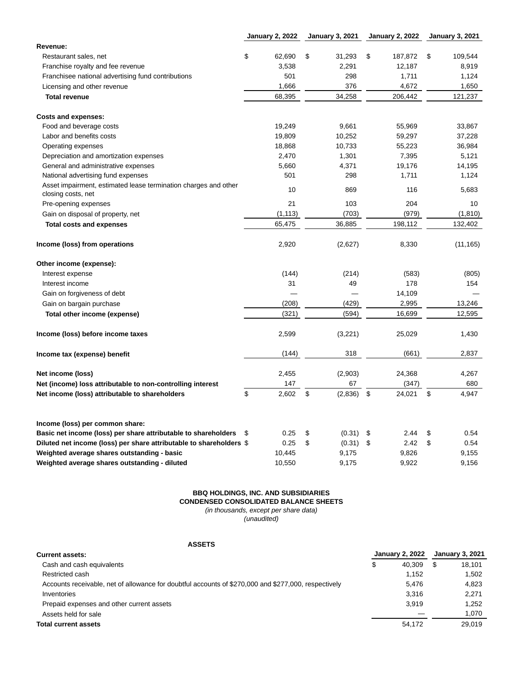|                                                                                       | <b>January 2, 2022</b> |          | <b>January 3, 2021</b> | <b>January 2, 2022</b> | <b>January 3, 2021</b> |
|---------------------------------------------------------------------------------------|------------------------|----------|------------------------|------------------------|------------------------|
| Revenue:                                                                              |                        |          |                        |                        |                        |
| Restaurant sales, net                                                                 | \$                     | 62,690   | \$<br>31,293           | \$<br>187,872          | \$<br>109,544          |
| Franchise royalty and fee revenue                                                     |                        | 3,538    | 2,291                  | 12,187                 | 8,919                  |
| Franchisee national advertising fund contributions                                    |                        | 501      | 298                    | 1,711                  | 1,124                  |
| Licensing and other revenue                                                           |                        | 1,666    | 376                    | 4,672                  | 1,650                  |
| <b>Total revenue</b>                                                                  |                        | 68,395   | 34,258                 | 206,442                | 121,237                |
| <b>Costs and expenses:</b>                                                            |                        |          |                        |                        |                        |
| Food and beverage costs                                                               |                        | 19,249   | 9,661                  | 55,969                 | 33,867                 |
| Labor and benefits costs                                                              |                        | 19,809   | 10,252                 | 59,297                 | 37,228                 |
| Operating expenses                                                                    |                        | 18,868   | 10,733                 | 55,223                 | 36,984                 |
| Depreciation and amortization expenses                                                |                        | 2,470    | 1,301                  | 7,395                  | 5,121                  |
| General and administrative expenses                                                   |                        | 5,660    | 4,371                  | 19,176                 | 14,195                 |
| National advertising fund expenses                                                    |                        | 501      | 298                    | 1,711                  | 1,124                  |
| Asset impairment, estimated lease termination charges and other<br>closing costs, net |                        | 10       | 869                    | 116                    | 5,683                  |
| Pre-opening expenses                                                                  |                        | 21       | 103                    | 204                    | 10                     |
| Gain on disposal of property, net                                                     |                        | (1, 113) | (703)                  | (979)                  | (1, 810)               |
| <b>Total costs and expenses</b>                                                       |                        | 65,475   | 36,885                 | 198,112                | 132,402                |
| Income (loss) from operations                                                         |                        | 2,920    | (2,627)                | 8,330                  | (11, 165)              |
| Other income (expense):                                                               |                        |          |                        |                        |                        |
| Interest expense                                                                      |                        | (144)    | (214)                  | (583)                  | (805)                  |
| Interest income                                                                       |                        | 31       | 49                     | 178                    | 154                    |
| Gain on forgiveness of debt                                                           |                        |          |                        | 14,109                 |                        |
| Gain on bargain purchase                                                              |                        | (208)    | (429)                  | 2,995                  | 13,246                 |
| Total other income (expense)                                                          |                        | (321)    | (594)                  | 16,699                 | 12,595                 |
| Income (loss) before income taxes                                                     |                        | 2,599    | (3,221)                | 25,029                 | 1,430                  |
| Income tax (expense) benefit                                                          |                        | (144)    | 318                    | (661)                  | 2,837                  |
| Net income (loss)                                                                     |                        | 2,455    | (2,903)                | 24,368                 | 4,267                  |
| Net (income) loss attributable to non-controlling interest                            |                        | 147      | 67                     | (347)                  | 680                    |
| Net income (loss) attributable to shareholders                                        | \$                     | 2,602    | \$<br>(2,836)          | \$<br>24,021           | \$<br>4,947            |
|                                                                                       |                        |          |                        |                        |                        |
| Income (loss) per common share:                                                       |                        |          |                        |                        |                        |
| Basic net income (loss) per share attributable to shareholders                        | \$                     | 0.25     | \$<br>(0.31)           | \$<br>2.44             | \$<br>0.54             |
| Diluted net income (loss) per share attributable to shareholders \$                   |                        | 0.25     | \$<br>(0.31)           | \$<br>2.42             | \$<br>0.54             |
| Weighted average shares outstanding - basic                                           |                        | 10,445   | 9,175                  | 9,826                  | 9,155                  |
| Weighted average shares outstanding - diluted                                         |                        | 10,550   | 9,175                  | 9,922                  | 9,156                  |

## **BBQ HOLDINGS, INC. AND SUBSIDIARIES CONDENSED CONSOLIDATED BALANCE SHEETS** (in thousands, except per share data) (unaudited)

# **ASSETS**

| <b>Current assets:</b>                                                                               |    | <b>January 2, 2022</b> | <b>January 3, 2021</b> |  |  |
|------------------------------------------------------------------------------------------------------|----|------------------------|------------------------|--|--|
| Cash and cash equivalents                                                                            | \$ | 40.309                 | \$<br>18,101           |  |  |
| Restricted cash                                                                                      |    | 1.152                  | 1,502                  |  |  |
| Accounts receivable, net of allowance for doubtful accounts of \$270,000 and \$277,000, respectively |    | 5.476                  | 4.823                  |  |  |
| Inventories                                                                                          |    | 3.316                  | 2,271                  |  |  |
| Prepaid expenses and other current assets                                                            |    | 3.919                  | 1,252                  |  |  |
| Assets held for sale                                                                                 |    |                        | 1,070                  |  |  |
| <b>Total current assets</b>                                                                          |    | 54.172                 | 29.019                 |  |  |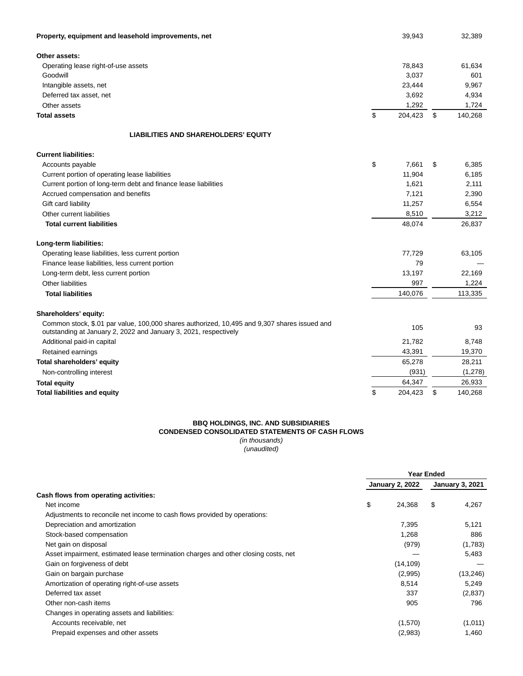| Property, equipment and leasehold improvements, net                                                                                                              | 39,943        | 32,389        |
|------------------------------------------------------------------------------------------------------------------------------------------------------------------|---------------|---------------|
| Other assets:                                                                                                                                                    |               |               |
| Operating lease right-of-use assets                                                                                                                              | 78,843        | 61,634        |
| Goodwill                                                                                                                                                         | 3,037         | 601           |
| Intangible assets, net                                                                                                                                           | 23,444        | 9,967         |
| Deferred tax asset, net                                                                                                                                          | 3,692         | 4,934         |
| Other assets                                                                                                                                                     | 1,292         | 1,724         |
| <b>Total assets</b>                                                                                                                                              | \$<br>204,423 | \$<br>140,268 |
| <b>LIABILITIES AND SHAREHOLDERS' EQUITY</b>                                                                                                                      |               |               |
| <b>Current liabilities:</b>                                                                                                                                      |               |               |
| Accounts payable                                                                                                                                                 | \$<br>7,661   | \$<br>6,385   |
| Current portion of operating lease liabilities                                                                                                                   | 11,904        | 6,185         |
| Current portion of long-term debt and finance lease liabilities                                                                                                  | 1,621         | 2,111         |
| Accrued compensation and benefits                                                                                                                                | 7,121         | 2,390         |
| Gift card liability                                                                                                                                              | 11,257        | 6,554         |
| Other current liabilities                                                                                                                                        | 8,510         | 3,212         |
| <b>Total current liabilities</b>                                                                                                                                 | 48,074        | 26,837        |
| Long-term liabilities:                                                                                                                                           |               |               |
| Operating lease liabilities, less current portion                                                                                                                | 77,729        | 63,105        |
| Finance lease liabilities, less current portion                                                                                                                  | 79            |               |
| Long-term debt, less current portion                                                                                                                             | 13,197        | 22,169        |
| Other liabilities                                                                                                                                                | 997           | 1,224         |
| <b>Total liabilities</b>                                                                                                                                         | 140,076       | 113,335       |
| Shareholders' equity:                                                                                                                                            |               |               |
| Common stock, \$.01 par value, 100,000 shares authorized, 10,495 and 9,307 shares issued and<br>outstanding at January 2, 2022 and January 3, 2021, respectively | 105           | 93            |
| Additional paid-in capital                                                                                                                                       | 21,782        | 8,748         |
| Retained earnings                                                                                                                                                | 43,391        | 19,370        |
| Total shareholders' equity                                                                                                                                       | 65,278        | 28,211        |
| Non-controlling interest                                                                                                                                         | (931)         | (1,278)       |
| <b>Total equity</b>                                                                                                                                              | 64,347        | 26,933        |
| <b>Total liabilities and equity</b>                                                                                                                              | \$<br>204,423 | \$<br>140,268 |

#### **BBQ HOLDINGS, INC. AND SUBSIDIARIES CONDENSED CONSOLIDATED STATEMENTS OF CASH FLOWS** (in thousands) (unaudited)

|                                                                                    |                        | <b>Year Ended</b> |                        |
|------------------------------------------------------------------------------------|------------------------|-------------------|------------------------|
|                                                                                    | <b>January 2, 2022</b> |                   | <b>January 3, 2021</b> |
| Cash flows from operating activities:                                              |                        |                   |                        |
| Net income                                                                         | \$<br>24,368           | \$                | 4,267                  |
| Adjustments to reconcile net income to cash flows provided by operations:          |                        |                   |                        |
| Depreciation and amortization                                                      | 7,395                  |                   | 5,121                  |
| Stock-based compensation                                                           | 1,268                  |                   | 886                    |
| Net gain on disposal                                                               | (979)                  |                   | (1,783)                |
| Asset impairment, estimated lease termination charges and other closing costs, net |                        |                   | 5,483                  |
| Gain on forgiveness of debt                                                        | (14, 109)              |                   |                        |
| Gain on bargain purchase                                                           | (2,995)                |                   | (13, 246)              |
| Amortization of operating right-of-use assets                                      | 8,514                  |                   | 5,249                  |
| Deferred tax asset                                                                 | 337                    |                   | (2,837)                |
| Other non-cash items                                                               | 905                    |                   | 796                    |
| Changes in operating assets and liabilities:                                       |                        |                   |                        |
| Accounts receivable, net                                                           | (1,570)                |                   | (1,011)                |
| Prepaid expenses and other assets                                                  | (2,983)                |                   | 1,460                  |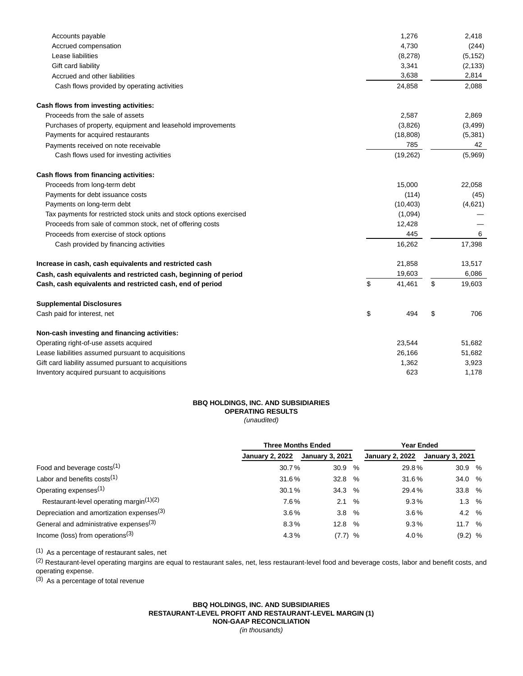| Accounts payable                                                    | 1,276        | 2,418        |
|---------------------------------------------------------------------|--------------|--------------|
| Accrued compensation                                                | 4,730        | (244)        |
| Lease liabilities                                                   | (8,278)      | (5, 152)     |
| Gift card liability                                                 | 3,341        | (2, 133)     |
| Accrued and other liabilities                                       | 3,638        | 2,814        |
| Cash flows provided by operating activities                         | 24,858       | 2,088        |
| Cash flows from investing activities:                               |              |              |
| Proceeds from the sale of assets                                    | 2,587        | 2,869        |
| Purchases of property, equipment and leasehold improvements         | (3,826)      | (3,499)      |
| Payments for acquired restaurants                                   | (18, 808)    | (5,381)      |
| Payments received on note receivable                                | 785          | 42           |
| Cash flows used for investing activities                            | (19, 262)    | (5,969)      |
| Cash flows from financing activities:                               |              |              |
| Proceeds from long-term debt                                        | 15,000       | 22,058       |
| Payments for debt issuance costs                                    | (114)        | (45)         |
| Payments on long-term debt                                          | (10, 403)    | (4,621)      |
| Tax payments for restricted stock units and stock options exercised | (1,094)      |              |
| Proceeds from sale of common stock, net of offering costs           | 12,428       |              |
| Proceeds from exercise of stock options                             | 445          | 6            |
| Cash provided by financing activities                               | 16,262       | 17,398       |
| Increase in cash, cash equivalents and restricted cash              | 21,858       | 13,517       |
| Cash, cash equivalents and restricted cash, beginning of period     | 19,603       | 6,086        |
| Cash, cash equivalents and restricted cash, end of period           | \$<br>41,461 | \$<br>19,603 |
| <b>Supplemental Disclosures</b>                                     |              |              |
| Cash paid for interest, net                                         | \$<br>494    | \$<br>706    |
| Non-cash investing and financing activities:                        |              |              |
| Operating right-of-use assets acquired                              | 23,544       | 51,682       |
| Lease liabilities assumed pursuant to acquisitions                  | 26,166       | 51,682       |
| Gift card liability assumed pursuant to acquisitions                | 1,362        | 3,923        |
| Inventory acquired pursuant to acquisitions                         | 623          | 1,178        |

# **BBQ HOLDINGS, INC. AND SUBSIDIARIES OPERATING RESULTS** (unaudited)

|                                                       | <b>Three Months Ended</b> |                        | Year Ended |                        |                        |  |  |  |
|-------------------------------------------------------|---------------------------|------------------------|------------|------------------------|------------------------|--|--|--|
|                                                       | <b>January 2, 2022</b>    | <b>January 3, 2021</b> |            | <b>January 2, 2022</b> | <b>January 3, 2021</b> |  |  |  |
| Food and beverage costs <sup>(1)</sup>                | 30.7%                     | 30.9                   | %          | 29.8%                  | 30.9%                  |  |  |  |
| Labor and benefits costs <sup>(1)</sup>               | 31.6%                     | 32.8                   | %          | 31.6%                  | 34.0 %                 |  |  |  |
| Operating expenses <sup>(1)</sup>                     | 30.1%                     | 34.3                   | %          | 29.4%                  | 33.8 %                 |  |  |  |
| Restaurant-level operating margin <sup>(1)(2)</sup>   | 7.6%                      | 2.1                    | $\%$       | 9.3%                   | $1.3\%$                |  |  |  |
| Depreciation and amortization expenses <sup>(3)</sup> | $3.6\%$                   | 3.8                    | $\%$       | $3.6\%$                | 4.2 %                  |  |  |  |
| General and administrative expenses <sup>(3)</sup>    | 8.3%                      | 12.8                   | $\%$       | 9.3%                   | 11.7 %                 |  |  |  |
| Income (loss) from operations $(3)$                   | 4.3%                      | $(7.7)$ %              |            | 4.0%                   | $(9.2)$ %              |  |  |  |

(1) As a percentage of restaurant sales, net

<sup>(2)</sup> Restaurant-level operating margins are equal to restaurant sales, net, less restaurant-level food and beverage costs, labor and benefit costs, and operating expense.

(3) As a percentage of total revenue

## **BBQ HOLDINGS, INC. AND SUBSIDIARIES RESTAURANT-LEVEL PROFIT AND RESTAURANT-LEVEL MARGIN (1) NON-GAAP RECONCILIATION** (in thousands)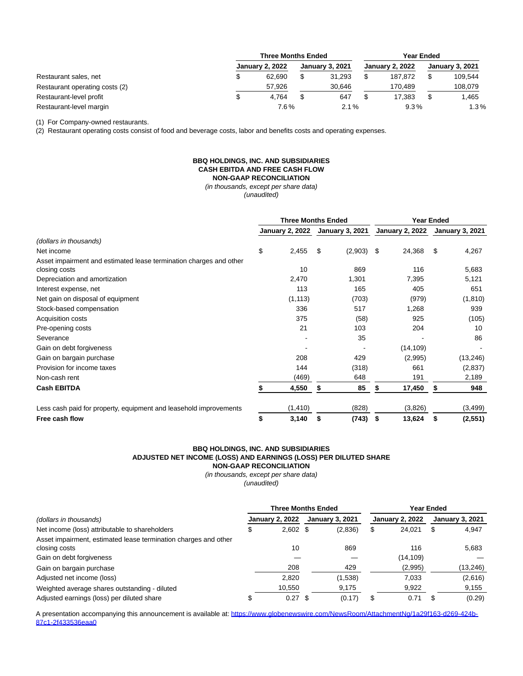|                                | <b>Three Months Ended</b> |  |         |  |                        | <b>Year Ended</b>      |         |  |  |  |
|--------------------------------|---------------------------|--|---------|--|------------------------|------------------------|---------|--|--|--|
| Restaurant sales, net          | <b>January 2, 2022</b>    |  |         |  | <b>January 2, 2022</b> | <b>January 3, 2021</b> |         |  |  |  |
|                                | 62.690                    |  | 31.293  |  | 187.872                |                        | 109,544 |  |  |  |
| Restaurant operating costs (2) | 57.926                    |  | 30.646  |  | 170.489                |                        | 108.079 |  |  |  |
| Restaurant-level profit        | 4.764                     |  | 647     |  | 17.383                 |                        | 1.465   |  |  |  |
| Restaurant-level margin        | 7.6%                      |  | $2.1\%$ |  | $9.3\%$                | 1.3%                   |         |  |  |  |

(1) For Company-owned restaurants.

(2) Restaurant operating costs consist of food and beverage costs, labor and benefits costs and operating expenses.

# **BBQ HOLDINGS, INC. AND SUBSIDIARIES CASH EBITDA AND FREE CASH FLOW NON-GAAP RECONCILIATION**

(in thousands, except per share data) (unaudited)

|                                                                    |                        | <b>Three Months Ended</b> |                        |         | <b>Year Ended</b>      |           |                        |           |
|--------------------------------------------------------------------|------------------------|---------------------------|------------------------|---------|------------------------|-----------|------------------------|-----------|
|                                                                    | <b>January 2, 2022</b> |                           | <b>January 3, 2021</b> |         | <b>January 2, 2022</b> |           | <b>January 3, 2021</b> |           |
| (dollars in thousands)                                             |                        |                           |                        |         |                        |           |                        |           |
| Net income                                                         | \$                     | 2,455                     | \$                     | (2,903) | S.                     | 24,368    | \$                     | 4,267     |
| Asset impairment and estimated lease termination charges and other |                        |                           |                        |         |                        |           |                        |           |
| closing costs                                                      |                        | 10                        |                        | 869     |                        | 116       |                        | 5,683     |
| Depreciation and amortization                                      |                        | 2,470                     |                        | 1,301   |                        | 7,395     |                        | 5,121     |
| Interest expense, net                                              |                        | 113                       |                        | 165     |                        | 405       |                        | 651       |
| Net gain on disposal of equipment                                  |                        | (1, 113)                  |                        | (703)   |                        | (979)     |                        | (1, 810)  |
| Stock-based compensation                                           |                        | 336                       |                        | 517     |                        | 1,268     |                        | 939       |
| Acquisition costs                                                  |                        | 375                       |                        | (58)    |                        | 925       |                        | (105)     |
| Pre-opening costs                                                  |                        | 21                        |                        | 103     |                        | 204       |                        | 10        |
| Severance                                                          |                        |                           |                        | 35      |                        |           |                        | 86        |
| Gain on debt forgiveness                                           |                        |                           |                        |         |                        | (14, 109) |                        |           |
| Gain on bargain purchase                                           |                        | 208                       |                        | 429     |                        | (2,995)   |                        | (13, 246) |
| Provision for income taxes                                         |                        | 144                       |                        | (318)   |                        | 661       |                        | (2,837)   |
| Non-cash rent                                                      |                        | (469)                     |                        | 648     |                        | 191       |                        | 2,189     |
| <b>Cash EBITDA</b>                                                 |                        | 4,550                     | S                      | 85      | S                      | 17,450    | S                      | 948       |
| Less cash paid for property, equipment and leasehold improvements  |                        | (1, 410)                  |                        | (828)   |                        | (3,826)   |                        | (3, 499)  |
| Free cash flow                                                     | \$                     | 3,140                     | \$                     | (743)   | \$                     | 13,624    | \$                     | (2,551)   |

#### **BBQ HOLDINGS, INC. AND SUBSIDIARIES ADJUSTED NET INCOME (LOSS) AND EARNINGS (LOSS) PER DILUTED SHARE NON-GAAP RECONCILIATION**

(in thousands, except per share data)

(unaudited)

| (dollars in thousands)                                                           |  | <b>Three Months Ended</b> |  | Year Ended             |    |                        |   |                        |
|----------------------------------------------------------------------------------|--|---------------------------|--|------------------------|----|------------------------|---|------------------------|
|                                                                                  |  | <b>January 2, 2022</b>    |  | <b>January 3, 2021</b> |    | <b>January 2, 2022</b> |   | <b>January 3, 2021</b> |
| Net income (loss) attributable to shareholders                                   |  | $2,602$ \$                |  | (2,836)                | \$ | 24,021                 | S | 4,947                  |
| Asset impairment, estimated lease termination charges and other<br>closing costs |  | 10                        |  | 869                    |    | 116                    |   | 5.683                  |
| Gain on debt forgiveness                                                         |  |                           |  |                        |    | (14,109)               |   |                        |
| Gain on bargain purchase                                                         |  | 208                       |  | 429                    |    | (2,995)                |   | (13,246)               |
| Adjusted net income (loss)                                                       |  | 2.820                     |  | (1,538)                |    | 7,033                  |   | (2,616)                |
| Weighted average shares outstanding - diluted                                    |  | 10,550                    |  | 9,175                  |    | 9,922                  |   | 9,155                  |
| Adjusted earnings (loss) per diluted share                                       |  | 0.27                      |  | (0.17)                 |    | 0.71                   |   | (0.29)                 |

A presentation accompanying this announcement is available at: [https://www.globenewswire.com/NewsRoom/AttachmentNg/1a29f163-d269-424b-](https://www.globenewswire.com/Tracker?data=gcjsSzaY_rOGNjHGU7rRf4fxS1a7E2i5kg2w9ghhEnSz94WBfcrn2QS87jT_pO3vw2tmq1COLfHr4pVubJ9mTnQJobFcbphcSRzv6fiJIJrHGsU4uJWrz5xfGNS4_mensyGBEwjhrOUu_bOxsOAaLm2SoSJSj84OOF-tpBdGQ1h-jJaexRxtBhCBjhGOFC5WAuxm35j43kvGSj7gYjMlWG3cus2WW6WvPsSEu4G5bajErqI0c5jmpI8HYuHbfwpN4LGjx8CCTgzR6L32ce8DBA==)87c1-2f433536eaa0